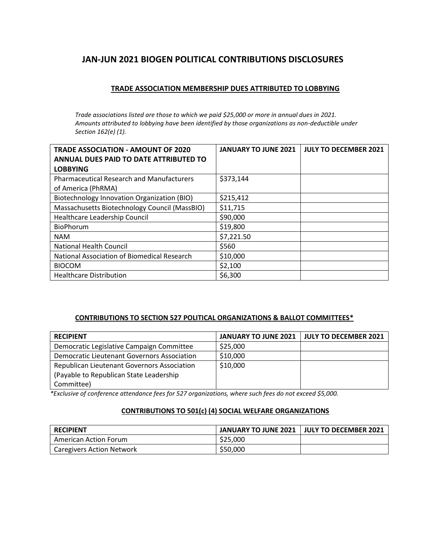# **JAN-JUN 2021 BIOGEN POLITICAL CONTRIBUTIONS DISCLOSURES**

## **TRADE ASSOCIATION MEMBERSHIP DUES ATTRIBUTED TO LOBBYING**

*Trade associations listed are those to which we paid \$25,000 or more in annual dues in 2021. Amounts attributed to lobbying have been identified by those organizations as non-deductible under Section 162(e) (1).*

| <b>TRADE ASSOCIATION - AMOUNT OF 2020</b>        | <b>JANUARY TO JUNE 2021</b> | <b>JULY TO DECEMBER 2021</b> |
|--------------------------------------------------|-----------------------------|------------------------------|
| ANNUAL DUES PAID TO DATE ATTRIBUTED TO           |                             |                              |
| <b>LOBBYING</b>                                  |                             |                              |
| <b>Pharmaceutical Research and Manufacturers</b> | \$373,144                   |                              |
| of America (PhRMA)                               |                             |                              |
| Biotechnology Innovation Organization (BIO)      | \$215,412                   |                              |
| Massachusetts Biotechnology Council (MassBIO)    | \$11,715                    |                              |
| Healthcare Leadership Council                    | \$90,000                    |                              |
| <b>BioPhorum</b>                                 | \$19,800                    |                              |
| <b>NAM</b>                                       | \$7,221.50                  |                              |
| <b>National Health Council</b>                   | \$560                       |                              |
| National Association of Biomedical Research      | \$10,000                    |                              |
| <b>BIOCOM</b>                                    | \$2,100                     |                              |
| <b>Healthcare Distribution</b>                   | \$6,300                     |                              |

#### **CONTRIBUTIONS TO SECTION 527 POLITICAL ORGANIZATIONS & BALLOT COMMITTEES\***

| <b>RECIPIENT</b>                            | JANUARY TO JUNE 2021 | JULY TO DECEMBER 2021 |
|---------------------------------------------|----------------------|-----------------------|
| Democratic Legislative Campaign Committee   | \$25,000             |                       |
| Democratic Lieutenant Governors Association | \$10,000             |                       |
| Republican Lieutenant Governors Association | \$10,000             |                       |
| (Payable to Republican State Leadership)    |                      |                       |
| Committee)                                  |                      |                       |

*\*Exclusive of conference attendance fees for 527 organizations, where such fees do not exceed \$5,000.*

# **CONTRIBUTIONS TO 501(c) (4) SOCIAL WELFARE ORGANIZATIONS**

| <b>RECIPIENT</b>          |          | JANUARY TO JUNE 2021   JULY TO DECEMBER 2021 |
|---------------------------|----------|----------------------------------------------|
| American Action Forum     | \$25,000 |                                              |
| Caregivers Action Network | \$50,000 |                                              |